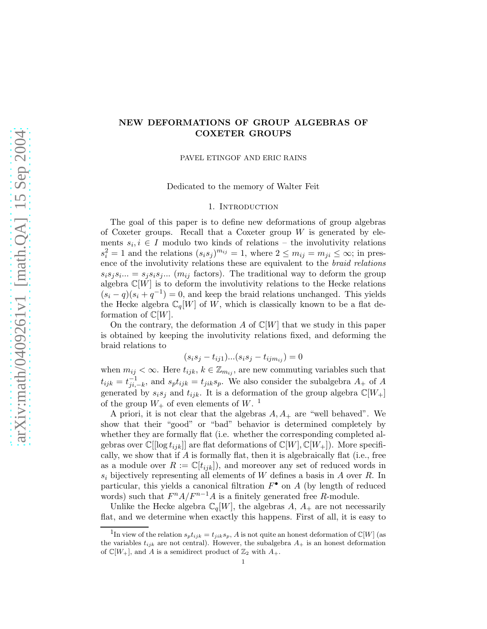# NEW DEFORMATIONS OF GROUP ALGEBRAS OF COXETER GROUPS

PAVEL ETINGOF AND ERIC RAINS

Dedicated to the memory of Walter Feit

#### 1. INTRODUCTION

The goal of this paper is to define new deformations of group algebras of Coxeter groups. Recall that a Coxeter group  $W$  is generated by elements  $s_i, i \in I$  modulo two kinds of relations – the involutivity relations  $s_i^2 = 1$  and the relations  $(s_i s_j)^{m_{ij}} = 1$ , where  $2 \le m_{ij} = m_{ji} \le \infty$ ; in presence of the involutivity relations these are equivalent to the braid relations  $s_i s_j s_i ... = s_j s_i s_j ...$  ( $m_{ij}$  factors). The traditional way to deform the group algebra  $\mathbb{C}[W]$  is to deform the involutivity relations to the Hecke relations  $(s_i - q)(s_i + q^{-1}) = 0$ , and keep the braid relations unchanged. This yields the Hecke algebra  $\mathbb{C}_q[W]$  of W, which is classically known to be a flat deformation of  $\mathbb{C}[W]$ .

On the contrary, the deformation A of  $\mathbb{C}[W]$  that we study in this paper is obtained by keeping the involutivity relations fixed, and deforming the braid relations to

$$
(s_i s_j - t_{ij1})...(s_i s_j - t_{ijm_{ij}}) = 0
$$

when  $m_{ij} < \infty$ . Here  $t_{ijk}$ ,  $k \in \mathbb{Z}_{m_{ij}}$ , are new commuting variables such that  $t_{ijk} = t_{ji}^{-1}$  $j_{ji,-k}^{-1}$ , and  $s_p t_{ijk} = t_{jik} s_p$ . We also consider the subalgebra  $A_+$  of  $A$ generated by  $s_i s_j$  and  $t_{ijk}$ . It is a deformation of the group algebra  $\mathbb{C}[W_+]$ of the group  $W_+$  of even elements of  $W$ .<sup>1</sup>

A priori, it is not clear that the algebras  $A, A_+$  are "well behaved". We show that their "good" or "bad" behavior is determined completely by whether they are formally flat (i.e. whether the corresponding completed algebras over  $\mathbb{C}[[\log t_{ijk}]]$  are flat deformations of  $\mathbb{C}[W], \mathbb{C}[W_+])$ . More specifically, we show that if  $A$  is formally flat, then it is algebraically flat (i.e., free as a module over  $R := \mathbb{C}[t_{ijk}]$ , and moreover any set of reduced words in  $s_i$  bijectively representing all elements of W defines a basis in A over R. In particular, this yields a canonical filtration  $F^{\bullet}$  on A (by length of reduced words) such that  $F^n A/F^{n-1}A$  is a finitely generated free R-module.

Unlike the Hecke algebra  $\mathbb{C}_q[W]$ , the algebras A,  $A_+$  are not necessarily flat, and we determine when exactly this happens. First of all, it is easy to

<sup>&</sup>lt;sup>1</sup>In view of the relation  $s_p t_{ijk} = t_{jik} s_p$ , A is not quite an honest deformation of  $\mathbb{C}[W]$  (as the variables  $t_{ijk}$  are not central). However, the subalgebra  $A_+$  is an honest deformation of  $\mathbb{C}[W_+]$ , and A is a semidirect product of  $\mathbb{Z}_2$  with  $A_+$ .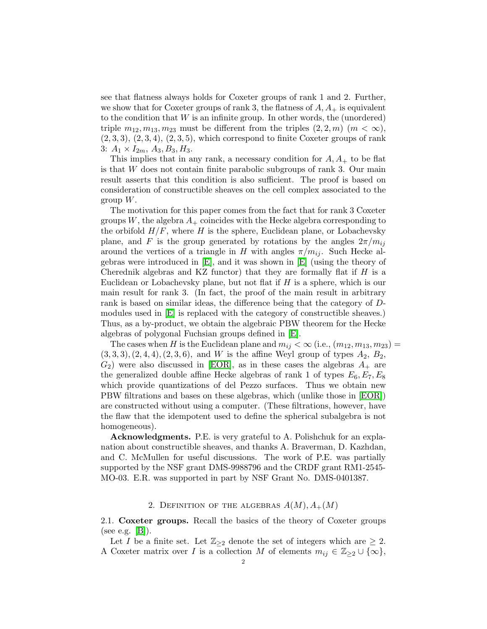see that flatness always holds for Coxeter groups of rank 1 and 2. Further, we show that for Coxeter groups of rank 3, the flatness of  $A, A<sub>+</sub>$  is equivalent to the condition that  $W$  is an infinite group. In other words, the (unordered) triple  $m_{12}, m_{13}, m_{23}$  must be different from the triples  $(2, 2, m)$   $(m < \infty)$ ,  $(2,3,3), (2,3,4), (2,3,5),$  which correspond to finite Coxeter groups of rank 3:  $A_1 \times I_{2m}$ ,  $A_3$ ,  $B_3$ ,  $H_3$ .

This implies that in any rank, a necessary condition for  $A, A<sub>+</sub>$  to be flat is that  $W$  does not contain finite parabolic subgroups of rank 3. Our main result asserts that this condition is also sufficient. The proof is based on consideration of constructible sheaves on the cell complex associated to the group  $W$ .

The motivation for this paper comes from the fact that for rank 3 Coxeter groups W, the algebra  $A_+$  coincides with the Hecke algebra corresponding to the orbifold  $H/F$ , where H is the sphere, Euclidean plane, or Lobachevsky plane, and F is the group generated by rotations by the angles  $2\pi/m_{ij}$ around the vertices of a triangle in H with angles  $\pi/m_{ij}$ . Such Hecke algebras were introduced in [\[E\]](#page-9-0), and it was shown in [\[E\]](#page-9-0) (using the theory of Cherednik algebras and KZ functor) that they are formally flat if  $H$  is a Euclidean or Lobachevsky plane, but not flat if  $H$  is a sphere, which is our main result for rank 3. (In fact, the proof of the main result in arbitrary rank is based on similar ideas, the difference being that the category of Dmodules used in [\[E\]](#page-9-0) is replaced with the category of constructible sheaves.) Thus, as a by-product, we obtain the algebraic PBW theorem for the Hecke algebras of polygonal Fuchsian groups defined in [\[E\]](#page-9-0).

The cases when H is the Euclidean plane and  $m_{ij} < \infty$  (i.e.,  $(m_{12}, m_{13}, m_{23}) =$  $(3, 3, 3), (2, 4, 4), (2, 3, 6),$  and W is the affine Weyl group of types  $A_2$ ,  $B_2$ ,  $G_2$ ) were also discussed in [\[EOR\]](#page-9-1), as in these cases the algebras  $A_+$  are the generalized double affine Hecke algebras of rank 1 of types  $E_6, E_7, E_8$ which provide quantizations of del Pezzo surfaces. Thus we obtain new PBW filtrations and bases on these algebras, which (unlike those in [\[EOR\]](#page-9-1)) are constructed without using a computer. (These filtrations, however, have the flaw that the idempotent used to define the spherical subalgebra is not homogeneous).

Acknowledgments. P.E. is very grateful to A. Polishchuk for an explanation about constructible sheaves, and thanks A. Braverman, D. Kazhdan, and C. McMullen for useful discussions. The work of P.E. was partially supported by the NSF grant DMS-9988796 and the CRDF grant RM1-2545- MO-03. E.R. was supported in part by NSF Grant No. DMS-0401387.

#### 2. DEFINITION OF THE ALGEBRAS  $A(M), A_+(M)$

2.1. Coxeter groups. Recall the basics of the theory of Coxeter groups (see e.g.  $|B|$ ).

Let I be a finite set. Let  $\mathbb{Z}_{\geq 2}$  denote the set of integers which are  $\geq 2$ . A Coxeter matrix over I is a collection M of elements  $m_{ij} \in \mathbb{Z}_{\geq 2} \cup \{\infty\},\$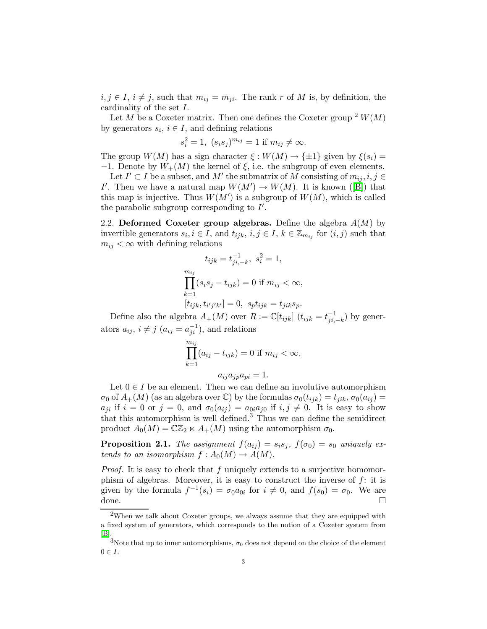$i, j \in I$ ,  $i \neq j$ , such that  $m_{ij} = m_{ji}$ . The rank r of M is, by definition, the cardinality of the set I.

Let M be a Coxeter matrix. Then one defines the Coxeter group  $2 W(M)$ by generators  $s_i$ ,  $i \in I$ , and defining relations

$$
s_i^2 = 1
$$
,  $(s_i s_j)^{m_{ij}} = 1$  if  $m_{ij} \neq \infty$ .

The group  $W(M)$  has a sign character  $\xi : W(M) \to {\pm 1}$  given by  $\xi(s_i) =$ −1. Denote by  $W_+(M)$  the kernel of  $\xi$ , i.e. the subgroup of even elements.

Let  $I' \subset I$  be a subset, and  $M'$  the submatrix of M consisting of  $m_{ij}, i, j \in I$ I'.Then we have a natural map  $W(M') \to W(M)$ . It is known ([\[B\]](#page-9-2)) that this map is injective. Thus  $W(M')$  is a subgroup of  $W(M)$ , which is called the parabolic subgroup corresponding to  $I'$ .

2.2. Deformed Coxeter group algebras. Define the algebra  $A(M)$  by invertible generators  $s_i, i \in I$ , and  $t_{ijk}, i, j \in I$ ,  $k \in \mathbb{Z}_{m_{ij}}$  for  $(i, j)$  such that  $m_{ij} < \infty$  with defining relations

$$
t_{ijk} = t_{ji,-k}^{-1}, \ s_i^2 = 1,
$$
  
\n
$$
\prod_{k=1}^{m_{ij}} (s_i s_j - t_{ijk}) = 0 \text{ if } m_{ij} < \infty,
$$
  
\n
$$
[t_{ijk}, t_{i'j'k'}] = 0, \ s_p t_{ijk} = t_{jik} s_p.
$$

Define also the algebra  $A_+(M)$  over  $R := \mathbb{C}[t_{ijk}]$   $(t_{ijk} = t_{ji}^{-1})$  $j_{i,-k}^{-1}$  by generators  $a_{ij}$ ,  $i \neq j$   $(a_{ij} = a_{ji}^{-1})$ , and relations

$$
\prod_{k=1}^{m_{ij}} (a_{ij} - t_{ijk}) = 0
$$
 if  $m_{ij} < \infty$ ,

$$
a_{ij}a_{jp}a_{pi}=1.
$$

Let  $0 \in I$  be an element. Then we can define an involutive automorphism  $\sigma_0$  of  $A_+(M)$  (as an algebra over C) by the formulas  $\sigma_0(t_{ijk}) = t_{jik}, \sigma_0(a_{ij}) =$  $a_{ji}$  if  $i = 0$  or  $j = 0$ , and  $\sigma_0(a_{ij}) = a_{0i}a_{j0}$  if  $i, j \neq 0$ . It is easy to show that this automorphism is well defined.<sup>3</sup> Thus we can define the semidirect product  $A_0(M) = \mathbb{C}\mathbb{Z}_2 \ltimes A_+(M)$  using the automorphism  $\sigma_0$ .

**Proposition 2.1.** The assignment  $f(a_{ij}) = s_i s_j$ ,  $f(\sigma_0) = s_0$  uniquely extends to an isomorphism  $f: A_0(M) \to A(M)$ .

*Proof.* It is easy to check that f uniquely extends to a surjective homomorphism of algebras. Moreover, it is easy to construct the inverse of  $f$ : it is given by the formula  $f^{-1}(s_i) = \sigma_0 a_{0i}$  for  $i \neq 0$ , and  $f(s_0) = \sigma_0$ . We are done.

 $2$ When we talk about Coxeter groups, we always assume that they are equipped with a fixed system of generators, which corresponds to the notion of a Coxeter system from [\[B\]](#page-9-2).

<sup>&</sup>lt;sup>3</sup>Note that up to inner automorphisms,  $\sigma_0$  does not depend on the choice of the element  $0 \in I$ .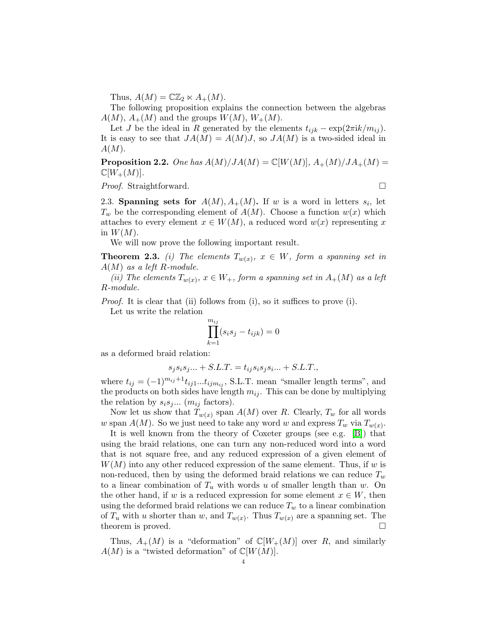Thus,  $A(M) = \mathbb{C}\mathbb{Z}_2 \ltimes A_+(M)$ .

The following proposition explains the connection between the algebras  $A(M)$ ,  $A_+(M)$  and the groups  $W(M)$ ,  $W_+(M)$ .

Let J be the ideal in R generated by the elements  $t_{ijk} - \exp(2\pi i k/m_{ij})$ . It is easy to see that  $JA(M) = A(M)J$ , so  $JA(M)$  is a two-sided ideal in  $A(M).$ 

**Proposition 2.2.** One has  $A(M)/JA(M) = \mathbb{C}[W(M)]$ ,  $A_+(M)/JA_+(M)$  $\mathbb{C}[W_+(M)].$ 

*Proof.* Straightforward. □

2.3. Spanning sets for  $A(M), A_{+}(M)$ . If w is a word in letters  $s_i$ , let  $T_w$  be the corresponding element of  $A(M)$ . Choose a function  $w(x)$  which attaches to every element  $x \in W(M)$ , a reduced word  $w(x)$  representing x in  $W(M)$ .

We will now prove the following important result.

<span id="page-3-0"></span>**Theorem 2.3.** (i) The elements  $T_{w(x)}$ ,  $x \in W$ , form a spanning set in  $A(M)$  as a left R-module.

(ii) The elements  $T_{w(x)}$ ,  $x \in W_+$ , form a spanning set in  $A_+(M)$  as a left R-module.

*Proof.* It is clear that (ii) follows from (i), so it suffices to prove (i).

Let us write the relation

$$
\prod_{k=1}^{m_{ij}} (s_i s_j - t_{ijk}) = 0
$$

as a deformed braid relation:

$$
s_j s_i s_j \dots + S.L.T. = t_{ij} s_i s_j s_i \dots + S.L.T.,
$$

where  $t_{ij} = (-1)^{m_{ij}+1} t_{ij1} \dots t_{ijm_{ij}}$ , S.L.T. mean "smaller length terms", and the products on both sides have length  $m_{ij}$ . This can be done by multiplying the relation by  $s_i s_j ...$  ( $m_{ij}$  factors).

Now let us show that  $T_{w(x)}$  span  $A(M)$  over R. Clearly,  $T_w$  for all words w span  $A(M)$ . So we just need to take any word w and express  $T_w$  via  $T_{w(x)}$ .

It is well known from the theory of Coxeter groups (see e.g. [\[B\]](#page-9-2)) that using the braid relations, one can turn any non-reduced word into a word that is not square free, and any reduced expression of a given element of  $W(M)$  into any other reduced expression of the same element. Thus, if w is non-reduced, then by using the deformed braid relations we can reduce  $T_w$ to a linear combination of  $T_u$  with words u of smaller length than w. On the other hand, if w is a reduced expression for some element  $x \in W$ , then using the deformed braid relations we can reduce  $T_w$  to a linear combination of  $T_u$  with u shorter than w, and  $T_{w(x)}$ . Thus  $T_{w(x)}$  are a spanning set. The theorem is proved.

Thus,  $A_+(M)$  is a "deformation" of  $\mathbb{C}[W_+(M)]$  over R, and similarly  $A(M)$  is a "twisted deformation" of  $\mathbb{C}[W(M)]$ .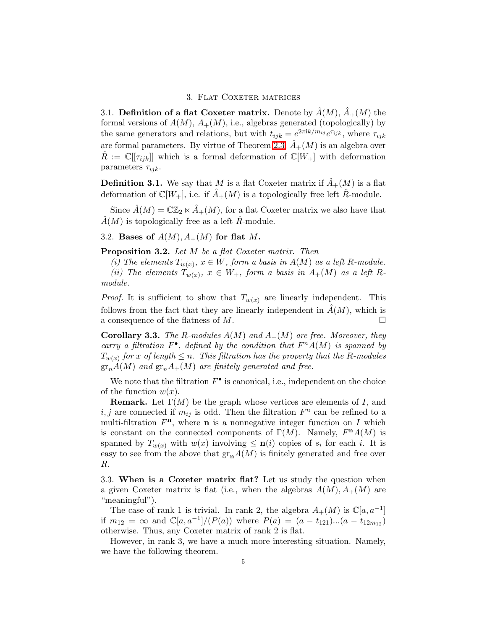## 3. FLAT COXETER MATRICES

3.1. Definition of a flat Coxeter matrix. Denote by  $A(M)$ ,  $A_+(M)$  the formal versions of  $A(M)$ ,  $A_+(M)$ , i.e., algebras generated (topologically) by the same generators and relations, but with  $t_{ijk} = e^{2\pi i k/m_{ij}} e^{\tau_{ijk}}$ , where  $\tau_{ijk}$ are formal parameters. By virtue of Theorem [2.3,](#page-3-0)  $\tilde{A}_+(M)$  is an algebra over  $R := \mathbb{C}[\tau_{ijk}]$  which is a formal deformation of  $\mathbb{C}[W_+]$  with deformation parameters  $\tau_{ijk}$ .

**Definition 3.1.** We say that M is a flat Coxeter matrix if  $\hat{A}_+(M)$  is a flat deformation of  $\mathbb{C}[W_+]$ , i.e. if  $\hat{A}_+(M)$  is a topologically free left  $\hat{R}$ -module.

Since  $\hat{A}(M) = \mathbb{C}\mathbb{Z}_2 \ltimes \hat{A}_+(M)$ , for a flat Coxeter matrix we also have that  $\hat{A}(M)$  is topologically free as a left  $\hat{R}$ -module.

3.2. Bases of  $A(M), A_{+}(M)$  for flat M.

Proposition 3.2. Let M be a flat Coxeter matrix. Then

(i) The elements  $T_{w(x)}$ ,  $x \in W$ , form a basis in  $A(M)$  as a left R-module.

(ii) The elements  $T_{w(x)}$ ,  $x \in W_+$ , form a basis in  $A_+(M)$  as a left Rmodule.

*Proof.* It is sufficient to show that  $T_{w(x)}$  are linearly independent. This follows from the fact that they are linearly independent in  $\hat{A}(M)$ , which is a consequence of the flatness of  $M$ .

**Corollary 3.3.** The R-modules  $A(M)$  and  $A_+(M)$  are free. Moreover, they carry a filtration  $F^{\bullet}$ , defined by the condition that  $F^nA(M)$  is spanned by  $T_{w(x)}$  for x of length  $\leq n$ . This filtration has the property that the R-modules  $gr_nA(M)$  and  $gr_nA_+(M)$  are finitely generated and free.

We note that the filtration  $F^{\bullet}$  is canonical, i.e., independent on the choice of the function  $w(x)$ .

**Remark.** Let  $\Gamma(M)$  be the graph whose vertices are elements of I, and  $i, j$  are connected if  $m_{ij}$  is odd. Then the filtration  $F<sup>n</sup>$  can be refined to a multi-filtration  $F<sup>n</sup>$ , where **n** is a nonnegative integer function on I which is constant on the connected components of  $\Gamma(M)$ . Namely,  $F^nA(M)$  is spanned by  $T_{w(x)}$  with  $w(x)$  involving  $\leq n(i)$  copies of  $s_i$  for each i. It is easy to see from the above that  $\mathrm{gr}_{\mathbf{n}}A(M)$  is finitely generated and free over R.

3.3. When is a Coxeter matrix flat? Let us study the question when a given Coxeter matrix is flat (i.e., when the algebras  $A(M), A_{+}(M)$  are "meaningful").

The case of rank 1 is trivial. In rank 2, the algebra  $A_+(M)$  is  $\mathbb{C}[a, a^{-1}]$ if  $m_{12} = \infty$  and  $\mathbb{C}[a, a^{-1}]/(P(a))$  where  $P(a) = (a - t_{121})...(a - t_{12m_{12}})$ otherwise. Thus, any Coxeter matrix of rank 2 is flat.

<span id="page-4-0"></span>However, in rank 3, we have a much more interesting situation. Namely, we have the following theorem.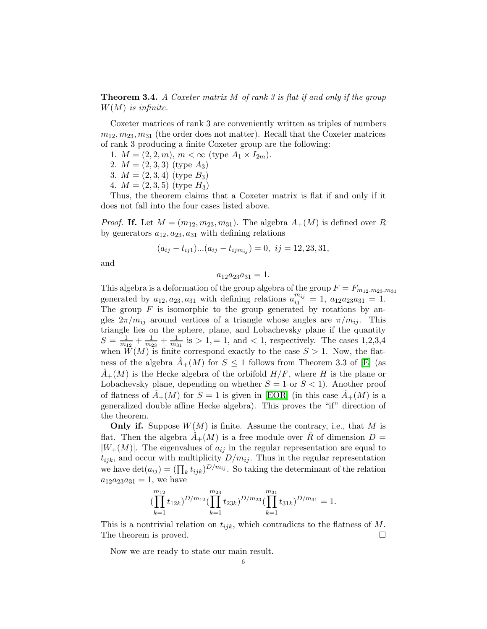**Theorem 3.4.** A Coxeter matrix M of rank 3 is flat if and only if the group  $W(M)$  is infinite.

Coxeter matrices of rank 3 are conveniently written as triples of numbers  $m_{12}, m_{23}, m_{31}$  (the order does not matter). Recall that the Coxeter matrices of rank 3 producing a finite Coxeter group are the following:

- 1.  $M = (2, 2, m), m < \infty$  (type  $A_1 \times I_{2m}$ ).
- 2.  $M = (2, 3, 3)$  (type  $A_3$ )
- 3.  $M = (2, 3, 4)$  (type  $B_3$ )
- 4.  $M = (2, 3, 5)$  (type  $H_3$ )

Thus, the theorem claims that a Coxeter matrix is flat if and only if it does not fall into the four cases listed above.

*Proof.* If. Let  $M = (m_{12}, m_{23}, m_{31})$ . The algebra  $A_+(M)$  is defined over R by generators  $a_{12}, a_{23}, a_{31}$  with defining relations

$$
(a_{ij} - t_{ij1})...(a_{ij} - t_{ijm_{ij}}) = 0, \ \ ij = 12, 23, 31,
$$

and

 $a_{12}a_{23}a_{31} = 1.$ 

This algebra is a deformation of the group algebra of the group  $F = F_{m_{12},m_{23},m_{31}}$ generated by  $a_{12}, a_{23}, a_{31}$  with defining relations  $a_{ij}^{m_{ij}} = 1, a_{12}a_{23}a_{31} = 1.$ The group  $F$  is isomorphic to the group generated by rotations by angles  $2\pi/m_{ii}$  around vertices of a triangle whose angles are  $\pi/m_{ii}$ . This triangle lies on the sphere, plane, and Lobachevsky plane if the quantity  $S=\frac{1}{m}$  $\frac{1}{m_{12}} + \frac{1}{m_2}$  $\frac{1}{m_{23}} + \frac{1}{m_3}$  $\frac{1}{m_{31}}$  is  $> 1, = 1$ , and  $< 1$ , respectively. The cases 1,2,3,4 when  $W(M)$  is finite correspond exactly to the case  $S > 1$ . Now, the flatness of the algebra  $A_+(M)$  for  $S \leq 1$  follows from Theorem 3.3 of [\[E\]](#page-9-0) (as  $A_{+}(M)$  is the Hecke algebra of the orbifold  $H/F$ , where H is the plane or Lobachevsky plane, depending on whether  $S = 1$  or  $S < 1$ ). Another proof of flatness of  $\hat{A}_+(M)$  for  $S=1$  is given in [\[EOR\]](#page-9-1) (in this case  $\hat{A}_+(M)$  is a generalized double affine Hecke algebra). This proves the "if" direction of the theorem.

**Only if.** Suppose  $W(M)$  is finite. Assume the contrary, i.e., that M is flat. Then the algebra  $\hat{A}_+(M)$  is a free module over  $\hat{R}$  of dimension  $D =$  $|W_+(M)|$ . The eigenvalues of  $a_{ij}$  in the regular representation are equal to  $t_{ijk}$ , and occur with multiplicity  $D/m_{ij}$ . Thus in the regular representation we have  $\det(a_{ij}) = (\prod_k t_{ijk})^{D/m_{ij}}$ . So taking the determinant of the relation  $a_{12}a_{23}a_{31} = 1$ , we have

$$
(\prod_{k=1}^{m_{12}} t_{12k})^{D/m_{12}} (\prod_{k=1}^{m_{23}} t_{23k})^{D/m_{23}} (\prod_{k=1}^{m_{31}} t_{31k})^{D/m_{31}} = 1.
$$

<span id="page-5-0"></span>This is a nontrivial relation on  $t_{ijk}$ , which contradicts to the flatness of M. The theorem is proved.

Now we are ready to state our main result.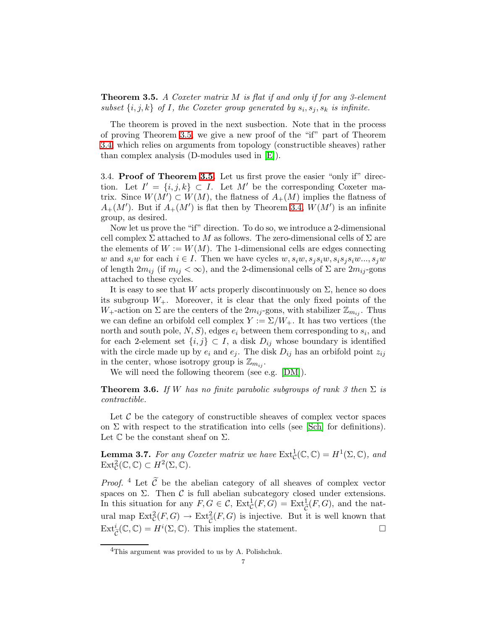**Theorem 3.5.** A Coxeter matrix  $M$  is flat if and only if for any 3-element subset  $\{i, j, k\}$  of I, the Coxeter group generated by  $s_i, s_j, s_k$  is infinite.

The theorem is proved in the next susbection. Note that in the process of proving Theorem [3.5,](#page-5-0) we give a new proof of the "if" part of Theorem [3.4,](#page-4-0) which relies on arguments from topology (constructible sheaves) rather than complex analysis (D-modules used in [\[E\]](#page-9-0)).

3.4. Proof of Theorem [3.5.](#page-5-0) Let us first prove the easier "only if" direction. Let  $I' = \{i, j, k\} \subset I$ . Let M' be the corresponding Coxeter matrix. Since  $W(M') \subset W(M)$ , the flatness of  $A_+(M)$  implies the flatness of  $A_{+}(M')$ . But if  $A_{+}(M')$  is flat then by Theorem [3.4,](#page-4-0)  $W(M')$  is an infinite group, as desired.

Now let us prove the "if" direction. To do so, we introduce a 2-dimensional cell complex  $\Sigma$  attached to M as follows. The zero-dimensional cells of  $\Sigma$  are the elements of  $W := W(M)$ . The 1-dimensional cells are edges connecting w and  $s_iw$  for each  $i \in I$ . Then we have cycles  $w, s_iw, s_i s_iw, s_i s_i s_iw \dots, s_iw$ of length  $2m_{ij}$  (if  $m_{ij} < \infty$ ), and the 2-dimensional cells of  $\Sigma$  are  $2m_{ij}$ -gons attached to these cycles.

It is easy to see that W acts properly discontinuously on  $\Sigma$ , hence so does its subgroup  $W_+$ . Moreover, it is clear that the only fixed points of the  $W_+$ -action on  $\Sigma$  are the centers of the  $2m_{ij}$ -gons, with stabilizer  $\mathbb{Z}_{m_{ij}}$ . Thus we can define an orbifold cell complex  $Y := \Sigma/W_+$ . It has two vertices (the north and south pole,  $N, S$ , edges  $e_i$  between them corresponding to  $s_i$ , and for each 2-element set  $\{i, j\} \subset I$ , a disk  $D_{ij}$  whose boundary is identified with the circle made up by  $e_i$  and  $e_j$ . The disk  $D_{ij}$  has an orbifold point  $z_{ij}$ in the center, whose isotropy group is  $\mathbb{Z}_{m_{ij}}$ .

We will need the following theorem (see e.g. [\[DM\]](#page-9-3)).

<span id="page-6-0"></span>**Theorem 3.6.** If W has no finite parabolic subgroups of rank 3 then  $\Sigma$  is contractible.

Let  $\mathcal C$  be the category of constructible sheaves of complex vector spaces on  $\Sigma$  with respect to the stratification into cells (see [\[Sch\]](#page-9-4) for definitions). Let  $\mathbb C$  be the constant sheaf on  $\Sigma$ .

<span id="page-6-1"></span>**Lemma 3.7.** For any Coxeter matrix we have  $\text{Ext}^1_{\mathcal{C}}(\mathbb{C}, \mathbb{C}) = H^1(\Sigma, \mathbb{C})$ , and  $\operatorname{Ext}^2_{\mathcal{C}}(\mathbb{C}, \mathbb{C}) \subset H^2(\Sigma, \mathbb{C}).$ 

*Proof.* <sup>4</sup> Let  $\widetilde{C}$  be the abelian category of all sheaves of complex vector spaces on  $\Sigma$ . Then  $\mathcal C$  is full abelian subcategory closed under extensions. In this situation for any  $F, G \in \mathcal{C}$ ,  $\text{Ext}^1_{\mathcal{C}}(F, G) = \text{Ext}^1_{\widetilde{\mathcal{C}}}(F, G)$ , and the natand map  $\text{Ext}^2_{\mathcal{C}}(F,G) \to \text{Ext}^2_{\widetilde{\mathcal{C}}}(F,G)$  is injective. But it is well known that  $\mathrm{Ext}^i_{\widetilde{\mathcal{C}}}(\mathbb{C}, \mathbb{C}) = H^i(\Sigma, \mathbb{C})$ . This implies the statement.

<sup>&</sup>lt;sup>4</sup>This argument was provided to us by A. Polishchuk.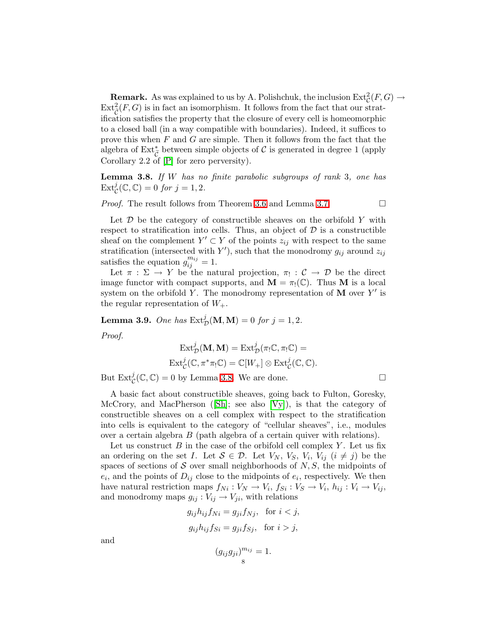**Remark.** As was explained to us by A. Polishchuk, the inclusion  $\text{Ext}^2_{\mathcal{C}}(F,G) \to$  $\text{Ext}_{\widetilde{C}}^2(F, G)$  is in fact an isomorphism. It follows from the fact that our stratification satisfies the property that the closure of every cell is homeomorphic to a closed ball (in a way compatible with boundaries). Indeed, it suffices to prove this when  $F$  and  $G$  are simple. Then it follows from the fact that the algebra of Ext<sup>\*</sup> $\tilde{C}$  between simple objects of C is generated in degree 1 (apply Corollary 2.2 of [\[P\]](#page-9-5) for zero perversity).

<span id="page-7-0"></span>**Lemma 3.8.** If W has no finite parabolic subgroups of rank 3, one has  $\text{Ext}^j_{\mathcal{C}}(\mathbb{C}, \mathbb{C}) = 0$  for  $j = 1, 2$ .

*Proof.* The result follows from Theorem [3.6](#page-6-0) and Lemma [3.7.](#page-6-1)  $\Box$ 

Let  $\mathcal D$  be the category of constructible sheaves on the orbifold Y with respect to stratification into cells. Thus, an object of  $\mathcal D$  is a constructible sheaf on the complement  $Y' \subset Y$  of the points  $z_{ij}$  with respect to the same stratification (intersected with Y'), such that the monodromy  $g_{ij}$  around  $z_{ij}$ satisfies the equation  $g_{ij}^{m_{ij}} = 1$ .

Let  $\pi : \Sigma \to Y$  be the natural projection,  $\pi_! : \mathcal{C} \to \mathcal{D}$  be the direct image functor with compact supports, and  $\mathbf{M} = \pi_!(\mathbb{C})$ . Thus **M** is a local system on the orbifold Y. The monodromy representation of  $M$  over Y' is the regular representation of  $W_{+}$ .

<span id="page-7-1"></span>**Lemma 3.9.** One has  $\text{Ext}^j_{\mathcal{D}}(\mathbf{M}, \mathbf{M}) = 0$  for  $j = 1, 2$ .

Proof.

$$
\mathrm{Ext}^j_{\mathcal{D}}(\mathbf{M}, \mathbf{M}) = \mathrm{Ext}^j_{\mathcal{D}}(\pi_! \mathbb{C}, \pi_! \mathbb{C}) =
$$
  

$$
\mathrm{Ext}^j_{\mathcal{C}}(\mathbb{C}, \pi^* \pi_! \mathbb{C}) = \mathbb{C}[W_+] \otimes \mathrm{Ext}^j_{\mathcal{C}}(\mathbb{C}, \mathbb{C}).
$$

But  $\text{Ext}^j_{\mathcal{C}}(\mathbb{C}, \mathbb{C}) = 0$  by Lemma [3.8.](#page-7-0) We are done.

A basic fact about constructible sheaves, going back to Fulton, Goresky, McCrory,and MacPherson ( $[\text{Sh}]$ ; see also  $[\text{Vy}]$ ), is that the category of constructible sheaves on a cell complex with respect to the stratification into cells is equivalent to the category of "cellular sheaves", i.e., modules over a certain algebra B (path algebra of a certain quiver with relations).

Let us construct  $B$  in the case of the orbifold cell complex  $Y$ . Let us fix an ordering on the set I. Let  $S \in \mathcal{D}$ . Let  $V_N$ ,  $V_S$ ,  $V_i$ ,  $V_{ij}$   $(i \neq j)$  be the spaces of sections of  $S$  over small neighborhoods of  $N, S$ , the midpoints of  $e_i$ , and the points of  $D_{ij}$  close to the midpoints of  $e_i$ , respectively. We then have natural restriction maps  $f_{Ni}: V_N \to V_i$ ,  $f_{Si}: V_S \to V_i$ ,  $h_{ij}: V_i \to V_{ij}$ , and monodromy maps  $g_{ij}: V_{ij} \to V_{ji}$ , with relations

$$
g_{ij}h_{ij}f_{Ni} = g_{ji}f_{Nj}, \text{ for } i < j,
$$
  

$$
g_{ij}h_{ij}f_{Si} = g_{ji}f_{Sj}, \text{ for } i > j,
$$

and

$$
(g_{ij}g_{ji})_{8}^{m_{ij}}=1.
$$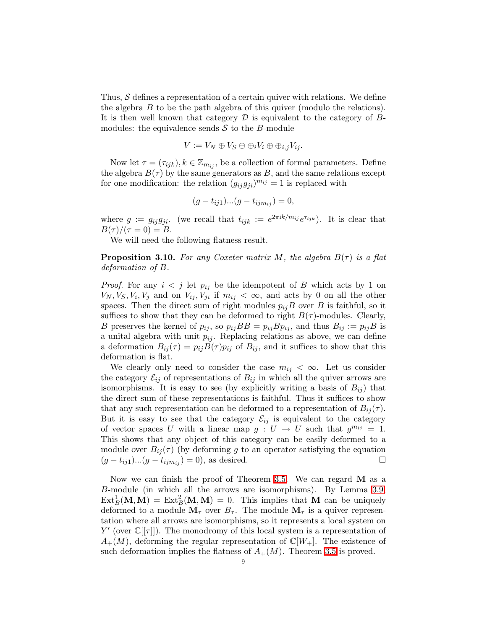Thus,  $S$  defines a representation of a certain quiver with relations. We define the algebra B to be the path algebra of this quiver (modulo the relations). It is then well known that category  $\mathcal D$  is equivalent to the category of  $B$ modules: the equivalence sends  $S$  to the B-module

$$
V := V_N \oplus V_S \oplus \oplus_i V_i \oplus \oplus_{i,j} V_{ij}.
$$

Now let  $\tau = (\tau_{ijk}), k \in \mathbb{Z}_{m_{ij}},$  be a collection of formal parameters. Define the algebra  $B(\tau)$  by the same generators as B, and the same relations except for one modification: the relation  $(g_{ij}g_{ji})^{m_{ij}} = 1$  is replaced with

$$
(g - t_{ij1})...(g - t_{ijm_{ij}}) = 0,
$$

where  $g := g_{ij}g_{ji}$ . (we recall that  $t_{ijk} := e^{2\pi i k/m_{ij}}e^{\tau_{ijk}}$ ). It is clear that  $B(\tau)/(\tau = 0) = B.$ 

We will need the following flatness result.

**Proposition 3.10.** For any Coxeter matrix M, the algebra  $B(\tau)$  is a flat deformation of B.

*Proof.* For any  $i < j$  let  $p_{ij}$  be the idempotent of B which acts by 1 on  $V_N, V_S, V_i, V_j$  and on  $V_{ij}, V_{ji}$  if  $m_{ij} < \infty$ , and acts by 0 on all the other spaces. Then the direct sum of right modules  $p_{ij}B$  over B is faithful, so it suffices to show that they can be deformed to right  $B(\tau)$ -modules. Clearly, B preserves the kernel of  $p_{ij}$ , so  $p_{ij}BB = p_{ij}Bp_{ij}$ , and thus  $B_{ij} := p_{ij}B$  is a unital algebra with unit  $p_{ij}$ . Replacing relations as above, we can define a deformation  $B_{ij}(\tau) = p_{ij}B(\tau)p_{ij}$  of  $B_{ij}$ , and it suffices to show that this deformation is flat.

We clearly only need to consider the case  $m_{ij} < \infty$ . Let us consider the category  $\mathcal{E}_{ij}$  of representations of  $B_{ij}$  in which all the quiver arrows are isomorphisms. It is easy to see (by explicitly writing a basis of  $B_{ij}$ ) that the direct sum of these representations is faithful. Thus it suffices to show that any such representation can be deformed to a representation of  $B_{ij}(\tau)$ . But it is easy to see that the category  $\mathcal{E}_{ij}$  is equivalent to the category of vector spaces U with a linear map  $g: U \to U$  such that  $g^{m_{ij}} = 1$ . This shows that any object of this category can be easily deformed to a module over  $B_{ij}(\tau)$  (by deforming g to an operator satisfying the equation  $(g - t_{ij1})...(g - t_{ijm_{ij}}) = 0$ , as desired.

Now we can finish the proof of Theorem [3.5.](#page-5-0) We can regard M as a B-module (in which all the arrows are isomorphisms). By Lemma [3.9,](#page-7-1)  $\text{Ext}^1_B(\mathbf{M}, \mathbf{M}) = \text{Ext}^2_B(\mathbf{M}, \mathbf{M}) = 0$ . This implies that M can be uniquely deformed to a module  $M_{\tau}$  over  $B_{\tau}$ . The module  $M_{\tau}$  is a quiver representation where all arrows are isomorphisms, so it represents a local system on  $Y'$  (over  $\mathbb{C}[[\tau]]$ ). The monodromy of this local system is a representation of  $A_{+}(M)$ , deforming the regular representation of  $\mathbb{C}[W_{+}]$ . The existence of such deformation implies the flatness of  $A_+(M)$ . Theorem [3.5](#page-5-0) is proved.